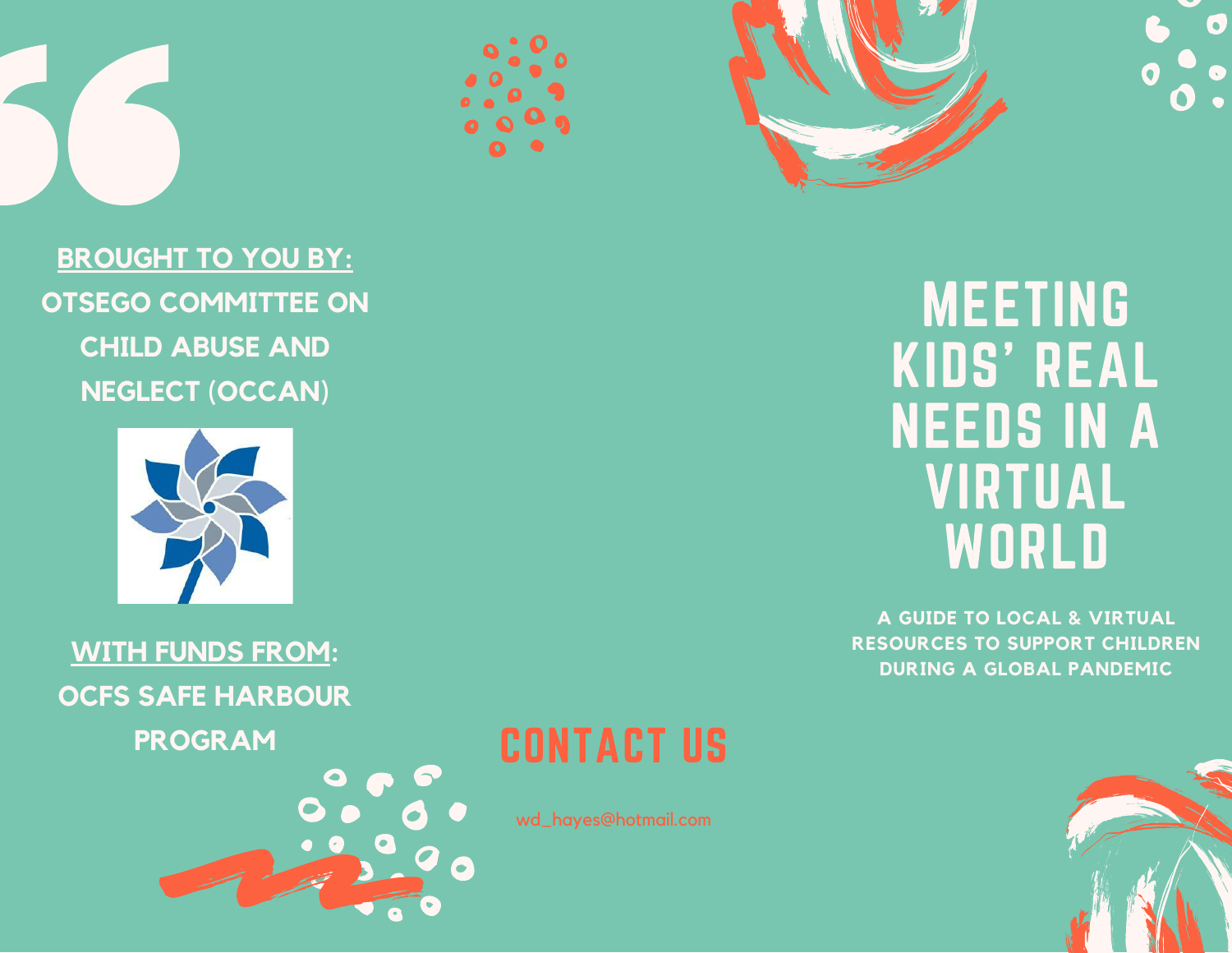







**BROUGHT TO YOU BY: OTSEGO COMMITTEE ON CHILD ABUSE AND NEGLECT (OCCAN)**



**WITH FUNDS FROM: OCFS SAFE HARBOUR**

**PROGRAM**



# CONTACT US

wd\_hayes@hotmail.com

MEETING KIDS' REAL NEEDS IN A VIRTUAL **WORLD** 

**A GUIDE TO LOCAL & VIRTUAL RESOURCES TO SUPPORT CHILDREN DURING A GLOBAL PANDEMIC**